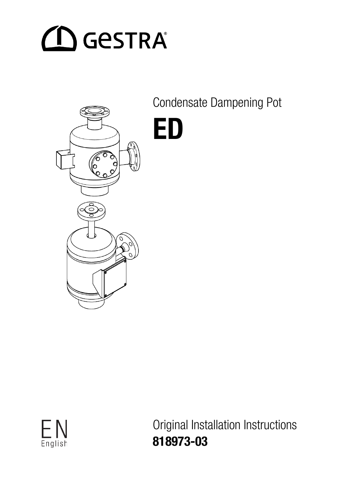# $\bigcap$  GeSTRA



Condensate Dampening Pot

ED



Original Installation Instructions 818973-03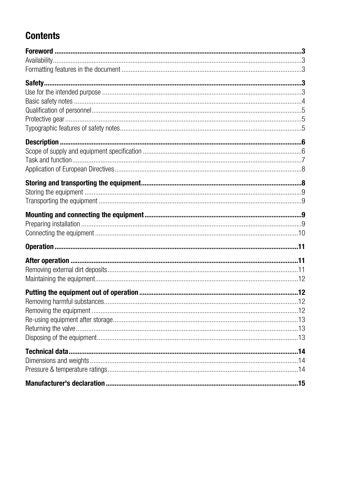# **Contents**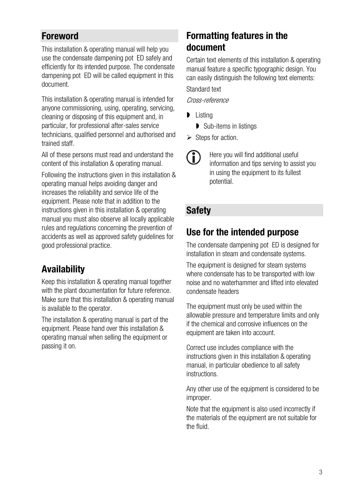#### <span id="page-2-0"></span>**Foreword**

This installation & operating manual will help you use the condensate dampening pot ED safely and efficiently for its intended purpose. The condensate dampening pot ED will be called equipment in this document.

This installation & operating manual is intended for anyone commissioning, using, operating, servicing, cleaning or disposing of this equipment and, in particular, for professional after-sales service technicians, qualified personnel and authorised and trained staff.

All of these persons must read and understand the content of this installation & operating manual.

Following the instructions given in this installation & operating manual helps avoiding danger and increases the reliability and service life of the equipment. Please note that in addition to the instructions given in this installation & operating manual you must also observe all locally applicable rules and regulations concerning the prevention of accidents as well as approved safety guidelines for good professional practice.

# <span id="page-2-1"></span>Availability

Keep this installation & operating manual together with the plant documentation for future reference. Make sure that this installation & operating manual is available to the operator.

The installation & operating manual is part of the equipment. Please hand over this installation & operating manual when selling the equipment or passing it on.

# <span id="page-2-2"></span>Formatting features in the document

Certain text elements of this installation & operating manual feature a specific typographic design. You can easily distinguish the following text elements: Standard text

Cross-reference

- **D** Listing
	- **▶ Sub-items in listings**
- $\triangleright$  Steps for action.

Œ Here you will find additional useful information and tips serving to assist you in using the equipment to its fullest potential.

#### <span id="page-2-3"></span>**Safety**

#### <span id="page-2-4"></span>Use for the intended purpose

The condensate dampening pot ED is designed for installation in steam and condensate systems.

The equipment is designed for steam systems where condensate has to be transported with low noise and no waterhammer and lifted into elevated condensate headers

The equipment must only be used within the allowable pressure and temperature limits and only if the chemical and corrosive influences on the equipment are taken into account.

Correct use includes compliance with the instructions given in this installation & operating manual, in particular obedience to all safety instructions.

Any other use of the equipment is considered to be improper.

Note that the equipment is also used incorrectly if the materials of the equipment are not suitable for the fluid.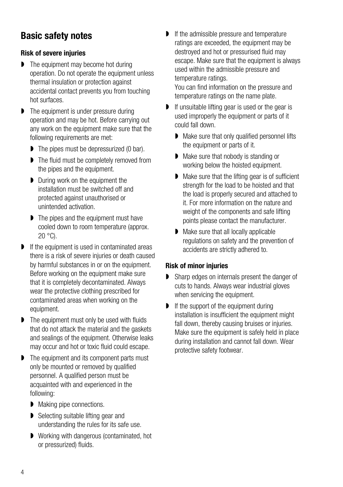#### <span id="page-3-0"></span>Basic safety notes

#### Risk of severe injuries

- **D** The equipment may become hot during operation. Do not operate the equipment unless thermal insulation or protection against accidental contact prevents you from touching hot surfaces.
- **D** The equipment is under pressure during operation and may be hot. Before carrying out any work on the equipment make sure that the following requirements are met:
	- The pipes must be depressurized (0 bar).
	- ▶ The fluid must be completely removed from the pipes and the equipment.
	- During work on the equipment the installation must be switched off and protected against unauthorised or unintended activation.
	- **D** The pipes and the equipment must have cooled down to room temperature (approx. 20 °C).
- If the equipment is used in contaminated areas there is a risk of severe injuries or death caused by harmful substances in or on the equipment. Before working on the equipment make sure that it is completely decontaminated. Always wear the protective clothing prescribed for contaminated areas when working on the equipment.
- **The equipment must only be used with fluids** that do not attack the material and the gaskets and sealings of the equipment. Otherwise leaks may occur and hot or toxic fluid could escape.
- **D** The equipment and its component parts must only be mounted or removed by qualified personnel. A qualified person must be acquainted with and experienced in the following:
	- Making pipe connections.
	- Selecting suitable lifting gear and understanding the rules for its safe use.
	- **D** Working with dangerous (contaminated, hot or pressurized) fluids.
- If the admissible pressure and temperature ratings are exceeded, the equipment may be destroyed and hot or pressurised fluid may escape. Make sure that the equipment is always used within the admissible pressure and temperature ratings. You can find information on the pressure and
	- temperature ratings on the name plate.
- If unsuitable lifting gear is used or the gear is used improperly the equipment or parts of it could fall down.
	- **Make sure that only qualified personnel lifts** the equipment or parts of it.
	- **Make sure that nobody is standing or** working below the hoisted equipment.
	- Make sure that the lifting gear is of sufficient strength for the load to be hoisted and that the load is properly secured and attached to it. For more information on the nature and weight of the components and safe lifting points please contact the manufacturer.
	- Make sure that all locally applicable regulations on safety and the prevention of accidents are strictly adhered to.

#### Risk of minor injuries

- **Sharp edges on internals present the danger of** cuts to hands. Always wear industrial gloves when servicing the equipment.
- If the support of the equipment during installation is insufficient the equipment might fall down, thereby causing bruises or injuries. Make sure the equipment is safely held in place during installation and cannot fall down. Wear protective safety footwear.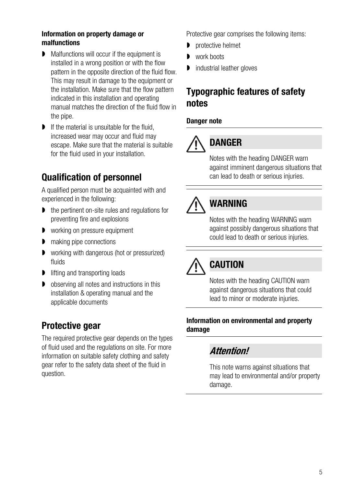#### Information on property damage or malfunctions

- Malfunctions will occur if the equipment is installed in a wrong position or with the flow pattern in the opposite direction of the fluid flow. This may result in damage to the equipment or the installation. Make sure that the flow pattern indicated in this installation and operating manual matches the direction of the fluid flow in the pipe.
- **If the material is unsuitable for the fluid.** increased wear may occur and fluid may escape. Make sure that the material is suitable for the fluid used in your installation.

#### <span id="page-4-0"></span>Qualification of personnel

A qualified person must be acquainted with and experienced in the following:

- the pertinent on-site rules and regulations for preventing fire and explosions
- **D** working on pressure equipment
- **n** making pipe connections
- **D** working with dangerous (hot or pressurized) fluids
- lifting and transporting loads
- **D** observing all notes and instructions in this installation & operating manual and the applicable documents

#### <span id="page-4-1"></span>Protective gear

The required protective gear depends on the types of fluid used and the regulations on site. For more information on suitable safety clothing and safety gear refer to the safety data sheet of the fluid in question.

Protective gear comprises the following items:

- **p** protective helmet
- work boots
- industrial leather gloves

#### <span id="page-4-2"></span>Typographic features of safety notes

#### Danger note

# DANGER

Notes with the heading DANGER warn against imminent dangerous situations that can lead to death or serious injuries.

# WARNING

Notes with the heading WARNING warn against possibly dangerous situations that could lead to death or serious injuries.

# **CAUTION**

Notes with the heading CAUTION warn against dangerous situations that could lead to minor or moderate injuries.

#### Information on environmental and property damage

#### Attention!

This note warns against situations that may lead to environmental and/or property damage.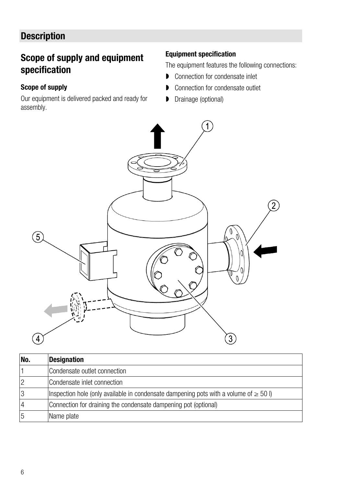# <span id="page-5-0"></span>**Description**

#### <span id="page-5-1"></span>Scope of supply and equipment specification

#### Scope of supply

Our equipment is delivered packed and ready for assembly.

#### Equipment specification

The equipment features the following connections:

- **▶ Connection for condensate inlet**
- **D** Connection for condensate outlet
- Drainage (optional)



| No.            | <b>Designation</b>                                                                         |
|----------------|--------------------------------------------------------------------------------------------|
|                | Condensate outlet connection                                                               |
| $\overline{2}$ | Condensate inlet connection                                                                |
| 3              | Inspection hole (only available in condensate dampening pots with a volume of $\geq 50$ I) |
| $\overline{4}$ | Connection for draining the condensate dampening pot (optional)                            |
| 5              | Name plate                                                                                 |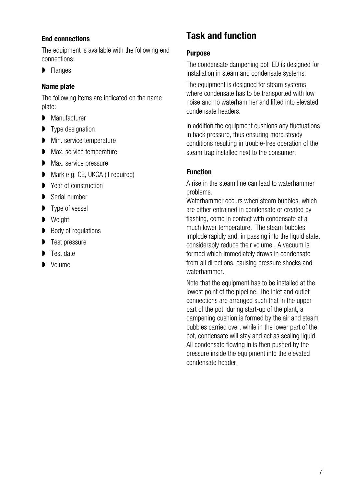#### End connections

The equipment is available with the following end connections:

**Flanges** 

#### Name plate

The following items are indicated on the name plate:

- **Manufacturer**
- **Type designation**
- **Min.** service temperature
- **Max.** service temperature
- **Max.** service pressure
- **Mark e.g. CE, UKCA (if required)**
- **▶ Year of construction**
- Serial number
- **Type of vessel**
- **D** Weight
- Body of regulations
- **Test pressure**
- **Test date**
- Volume

#### <span id="page-6-0"></span>Task and function

#### **Purpose**

The condensate dampening pot ED is designed for installation in steam and condensate systems.

The equipment is designed for steam systems where condensate has to be transported with low noise and no waterhammer and lifted into elevated condensate headers.

In addition the equipment cushions any fluctuations in back pressure, thus ensuring more steady conditions resulting in trouble-free operation of the steam trap installed next to the consumer.

#### **Function**

A rise in the steam line can lead to waterhammer problems.

Waterhammer occurs when steam bubbles, which are either entrained in condensate or created by flashing, come in contact with condensate at a much lower temperature. The steam bubbles implode rapidly and, in passing into the liquid state, considerably reduce their volume . A vacuum is formed which immediately draws in condensate from all directions, causing pressure shocks and waterhammer.

Note that the equipment has to be installed at the lowest point of the pipeline. The inlet and outlet connections are arranged such that in the upper part of the pot, during start-up of the plant, a dampening cushion is formed by the air and steam bubbles carried over, while in the lower part of the pot, condensate will stay and act as sealing liquid. All condensate flowing in is then pushed by the pressure inside the equipment into the elevated condensate header.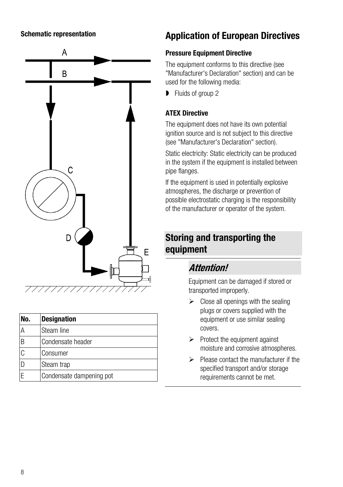#### Schematic representation



| No. | <b>Designation</b>       |
|-----|--------------------------|
| ΙA  | Steam line               |
| ΙB  | Condensate header        |
| C   | Consumer                 |
|     | Steam trap               |
|     | Condensate dampening pot |

#### <span id="page-7-0"></span>Application of European Directives

#### Pressure Equipment Directive

The equipment conforms to this directive (see "Manufacturer's Declaration" section) and can be used for the following media:

**Fluids of group 2** 

#### ATEX Directive

The equipment does not have its own potential ignition source and is not subject to this directive (see "Manufacturer's Declaration" section).

Static electricity: Static electricity can be produced in the system if the equipment is installed between pipe flanges.

If the equipment is used in potentially explosive atmospheres, the discharge or prevention of possible electrostatic charging is the responsibility of the manufacturer or operator of the system.

#### <span id="page-7-1"></span>Storing and transporting the equipment

#### Attention!

Equipment can be damaged if stored or transported improperly.

- $\triangleright$  Close all openings with the sealing plugs or covers supplied with the equipment or use similar sealing covers.
- $\triangleright$  Protect the equipment against moisture and corrosive atmospheres.
- $\triangleright$  Please contact the manufacturer if the specified transport and/or storage requirements cannot be met.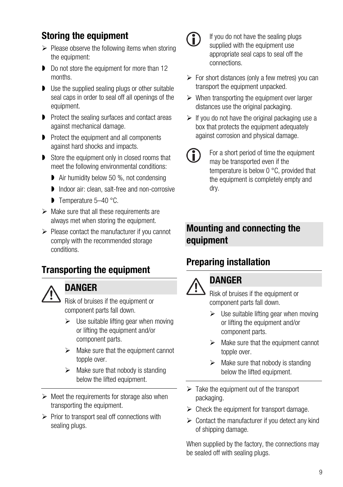# <span id="page-8-0"></span>Storing the equipment

- $\triangleright$  Please observe the following items when storing the equipment:
- Do not store the equipment for more than 12 months.
- Use the supplied sealing plugs or other suitable seal caps in order to seal off all openings of the equipment.
- **P** Protect the sealing surfaces and contact areas against mechanical damage.
- **P** Protect the equipment and all components against hard shocks and impacts.
- Store the equipment only in closed rooms that meet the following environmental conditions:
	- **Air humidity below 50 %, not condensing**
	- **Indoor air: clean, salt-free and non-corrosive**
	- Temperature 5-40 °C.
- $\triangleright$  Make sure that all these requirements are always met when storing the equipment.
- $\triangleright$  Please contact the manufacturer if you cannot comply with the recommended storage conditions.

#### <span id="page-8-1"></span>Transporting the equipment



#### **DANGER**

Risk of bruises if the equipment or component parts fall down.

- $\triangleright$  Use suitable lifting gear when moving or lifting the equipment and/or component parts.
- $\triangleright$  Make sure that the equipment cannot topple over.
- $\triangleright$  Make sure that nobody is standing below the lifted equipment.
- $\triangleright$  Meet the requirements for storage also when transporting the equipment.
- $\triangleright$  Prior to transport seal off connections with sealing plugs.



If you do not have the sealing plugs supplied with the equipment use appropriate seal caps to seal off the connections.

- $\triangleright$  For short distances (only a few metres) you can transport the equipment unpacked.
- $\triangleright$  When transporting the equipment over larger distances use the original packaging.
- $\triangleright$  If you do not have the original packaging use a box that protects the equipment adequately against corrosion and physical damage.
- For a short period of time the equipment Œ may be transported even if the temperature is below 0 °C, provided that the equipment is completely empty and dry.

#### <span id="page-8-2"></span>Mounting and connecting the equipment

# <span id="page-8-3"></span>Preparing installation



#### **DANGER**

Risk of bruises if the equipment or component parts fall down.

- $\triangleright$  Use suitable lifting gear when moving or lifting the equipment and/or component parts.
- $\triangleright$  Make sure that the equipment cannot topple over.
- $\triangleright$  Make sure that nobody is standing below the lifted equipment.
- $\triangleright$  Take the equipment out of the transport packaging.
- $\triangleright$  Check the equipment for transport damage.
- $\triangleright$  Contact the manufacturer if you detect any kind of shipping damage.

When supplied by the factory, the connections may be sealed off with sealing plugs.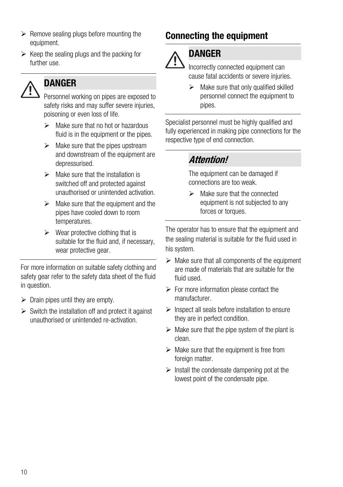- $\triangleright$  Remove sealing plugs before mounting the equipment.
- $\triangleright$  Keep the sealing plugs and the packing for further use.



## **DANGER**

Personnel working on pipes are exposed to safety risks and may suffer severe injuries, poisoning or even loss of life.

- $\triangleright$  Make sure that no hot or hazardous fluid is in the equipment or the pipes.
- $\triangleright$  Make sure that the pipes upstream and downstream of the equipment are depressurised.
- $\triangleright$  Make sure that the installation is switched off and protected against unauthorised or unintended activation.
- $\triangleright$  Make sure that the equipment and the pipes have cooled down to room temperatures.
- $\triangleright$  Wear protective clothing that is suitable for the fluid and, if necessary, wear protective gear.

For more information on suitable safety clothing and safety gear refer to the safety data sheet of the fluid in question.

- $\triangleright$  Drain pipes until they are empty.
- $\triangleright$  Switch the installation off and protect it against unauthorised or unintended re-activation.

# <span id="page-9-0"></span>Connecting the equipment



#### DANGER

Incorrectly connected equipment can cause fatal accidents or severe injuries.

 $\triangleright$  Make sure that only qualified skilled personnel connect the equipment to pipes.

Specialist personnel must be highly qualified and fully experienced in making pipe connections for the respective type of end connection.

#### Attention!

The equipment can be damaged if connections are too weak.

 $\triangleright$  Make sure that the connected equipment is not subjected to any forces or torques.

The operator has to ensure that the equipment and the sealing material is suitable for the fluid used in his system.

- $\triangleright$  Make sure that all components of the equipment are made of materials that are suitable for the fluid used.
- $\triangleright$  For more information please contact the manufacturer.
- $\triangleright$  Inspect all seals before installation to ensure they are in perfect condition.
- $\triangleright$  Make sure that the pipe system of the plant is clean.
- $\triangleright$  Make sure that the equipment is free from foreign matter.
- $\triangleright$  Install the condensate dampening pot at the lowest point of the condensate pipe.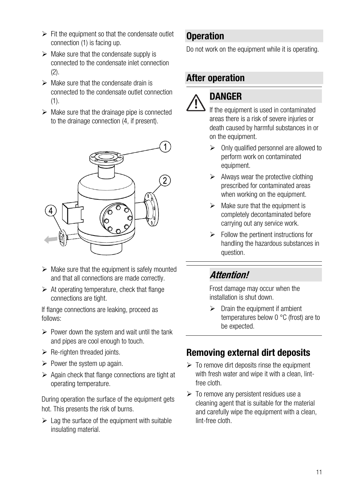- $\triangleright$  Fit the equipment so that the condensate outlet connection (1) is facing up.
- $\triangleright$  Make sure that the condensate supply is connected to the condensate inlet connection  $(2)$ .
- $\triangleright$  Make sure that the condensate drain is connected to the condensate outlet connection (1).
- $\triangleright$  Make sure that the drainage pipe is connected to the drainage connection (4, if present).



- $\triangleright$  Make sure that the equipment is safely mounted and that all connections are made correctly.
- $\triangleright$  At operating temperature, check that flange connections are tight.

If flange connections are leaking, proceed as follows:

- $\triangleright$  Power down the system and wait until the tank and pipes are cool enough to touch.
- $\triangleright$  Re-righten threaded joints.
- $\triangleright$  Power the system up again.
- $\triangleright$  Again check that flange connections are tight at operating temperature.

During operation the surface of the equipment gets hot. This presents the risk of burns.

 $\triangleright$  Lag the surface of the equipment with suitable insulating material.

#### <span id="page-10-0"></span>**Operation**

Do not work on the equipment while it is operating.

#### <span id="page-10-1"></span>After operation



## DANGER

If the equipment is used in contaminated areas there is a risk of severe injuries or death caused by harmful substances in or on the equipment.

- $\triangleright$  Only qualified personnel are allowed to perform work on contaminated equipment.
- $\triangleright$  Always wear the protective clothing prescribed for contaminated areas when working on the equipment.
- $\triangleright$  Make sure that the equipment is completely decontaminated before carrying out any service work.
- $\triangleright$  Follow the pertinent instructions for handling the hazardous substances in question.

# Attention!

Frost damage may occur when the installation is shut down.

 $\triangleright$  Drain the equipment if ambient temperatures below 0 °C (frost) are to be expected.

# <span id="page-10-2"></span>Removing external dirt deposits

- $\triangleright$  To remove dirt deposits rinse the equipment with fresh water and wipe it with a clean, lintfree cloth.
- $\triangleright$  To remove any persistent residues use a cleaning agent that is suitable for the material and carefully wipe the equipment with a clean, lint-free cloth.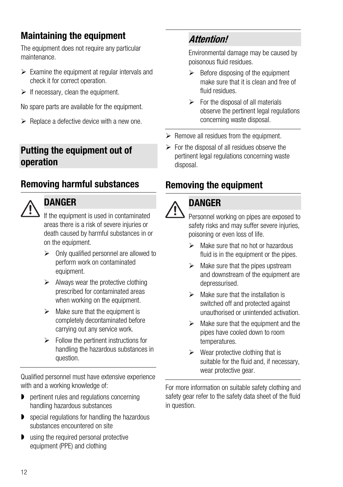# <span id="page-11-0"></span>Maintaining the equipment

The equipment does not require any particular maintenance.

- $\triangleright$  Examine the equipment at requiar intervals and check it for correct operation.
- $\triangleright$  If necessary, clean the equipment.

No spare parts are available for the equipment.

 $\triangleright$  Replace a defective device with a new one.

#### <span id="page-11-1"></span>Putting the equipment out of operation

# <span id="page-11-2"></span>Removing harmful substances



#### DANGER

If the equipment is used in contaminated areas there is a risk of severe injuries or death caused by harmful substances in or on the equipment.

- $\triangleright$  Only qualified personnel are allowed to perform work on contaminated equipment.
- $\triangleright$  Always wear the protective clothing prescribed for contaminated areas when working on the equipment.
- $\triangleright$  Make sure that the equipment is completely decontaminated before carrying out any service work.
- $\triangleright$  Follow the pertinent instructions for handling the hazardous substances in question.

Qualified personnel must have extensive experience with and a working knowledge of:

- **P** pertinent rules and regulations concerning handling hazardous substances
- **D** special regulations for handling the hazardous substances encountered on site
- **D** using the required personal protective equipment (PPE) and clothing

### Attention!

Environmental damage may be caused by poisonous fluid residues.

- $\triangleright$  Before disposing of the equipment make sure that it is clean and free of fluid residues.
- $\triangleright$  For the disposal of all materials observe the pertinent legal regulations concerning waste disposal.
- $\triangleright$  Remove all residues from the equipment.
- $\triangleright$  For the disposal of all residues observe the pertinent legal regulations concerning waste disposal.

# <span id="page-11-3"></span>Removing the equipment



#### DANGER

Personnel working on pipes are exposed to safety risks and may suffer severe injuries. poisoning or even loss of life.

- $\triangleright$  Make sure that no hot or hazardous fluid is in the equipment or the pipes.
- $\triangleright$  Make sure that the pipes upstream and downstream of the equipment are depressurised.
- $\triangleright$  Make sure that the installation is switched off and protected against unauthorised or unintended activation.
- $\triangleright$  Make sure that the equipment and the pipes have cooled down to room temperatures.
- $\triangleright$  Wear protective clothing that is suitable for the fluid and, if necessary, wear protective gear.

For more information on suitable safety clothing and safety gear refer to the safety data sheet of the fluid in question.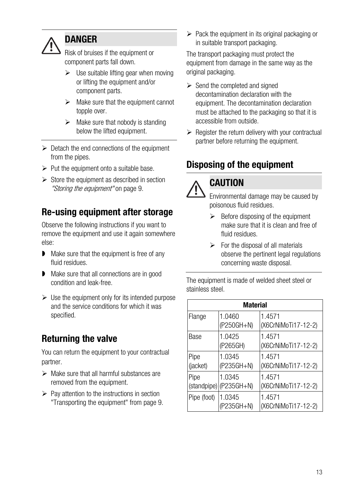

#### DANGER

Risk of bruises if the equipment or component parts fall down.

- $\geq$  Use suitable lifting gear when moving or lifting the equipment and/or component parts.
- $\triangleright$  Make sure that the equipment cannot topple over.
- $\triangleright$  Make sure that nobody is standing below the lifted equipment.
- $\triangleright$  Detach the end connections of the equipment from the pipes.
- $\triangleright$  Put the equipment onto a suitable base.
- $\triangleright$  Store the equipment as described in section ["Storing the equipment"](#page-8-0) on page [9.](#page-8-0)

# <span id="page-12-0"></span>Re-using equipment after storage

Observe the following instructions if you want to remove the equipment and use it again somewhere else:

- Make sure that the equipment is free of any fluid residues.
- **Make sure that all connections are in good** condition and leak-free.
- $\triangleright$  Use the equipment only for its intended purpose and the service conditions for which it was specified.

# <span id="page-12-1"></span>Returning the valve

You can return the equipment to your contractual partner.

- $\triangleright$  Make sure that all harmful substances are removed from the equipment.
- $\triangleright$  Pay attention to the instructions in section ["Transporting the equipment"](#page-8-1) from page [9.](#page-8-1)

 $\triangleright$  Pack the equipment in its original packaging or in suitable transport packaging.

The transport packaging must protect the equipment from damage in the same way as the original packaging.

- $\triangleright$  Send the completed and signed decontamination declaration with the equipment. The decontamination declaration must be attached to the packaging so that it is accessible from outside.
- $\triangleright$  Register the return delivery with your contractual partner before returning the equipment.

# <span id="page-12-2"></span>Disposing of the equipment

# **CAUTION**

Environmental damage may be caused by poisonous fluid residues.

- $\triangleright$  Before disposing of the equipment make sure that it is clean and free of fluid residues.
- $\triangleright$  For the disposal of all materials observe the pertinent legal regulations concerning waste disposal.

The equipment is made of welded sheet steel or stainless steel.

| <b>Material</b>  |                                     |                               |  |  |  |  |
|------------------|-------------------------------------|-------------------------------|--|--|--|--|
| Flange           | 1.0460<br>(P250GH+N)                | 1.4571<br>(X6CrNiMoTi17-12-2) |  |  |  |  |
| Base             | 1.0425<br>(P265GH)                  | 1.4571<br>(X6CrNiMoTi17-12-2) |  |  |  |  |
| Pipe<br>(jacket) | 1.0345<br>(P235GH+N)                | 1.4571<br>(X6CrNiMoTi17-12-2) |  |  |  |  |
| Pipe             | 1.0345<br>$(statadpipe)$ (P235GH+N) | 1.4571<br>(X6CrNiMoTi17-12-2) |  |  |  |  |
| Pipe (foot)      | 1.0345<br>(P235GH+N)                | 1.4571<br>(X6CrNiMoTi17-12-2) |  |  |  |  |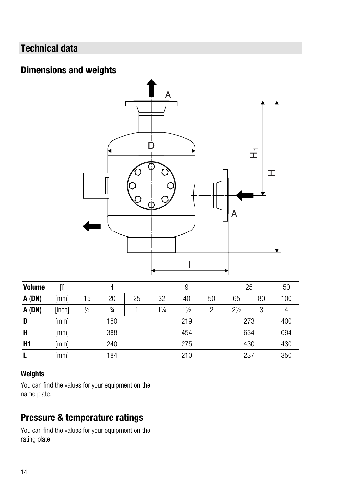# <span id="page-13-0"></span>Technical data

#### <span id="page-13-1"></span>Dimensions and weights



| <b>Volume</b> |        | 4             |               |    | 9   |                |    | 25             |    | 50  |
|---------------|--------|---------------|---------------|----|-----|----------------|----|----------------|----|-----|
| A (DN)        | [mm]   | 15            | 20            | 25 | 32  | 40             | 50 | 65             | 80 | 100 |
| A (DN)        | [inch] | $\frac{1}{2}$ | $\frac{3}{4}$ |    | 1¼  | $1\frac{1}{2}$ | 2  | $2\frac{1}{2}$ | 3  |     |
| D             | [mm]   | 180           |               |    | 219 |                |    | 273            |    | 400 |
| H             | [mm]   | 388           |               |    | 454 |                |    | 634            |    | 694 |
| IH1           | [mm]   | 240           |               |    | 275 |                |    | 430            |    | 430 |
| L             | [mm]   | 184           |               |    | 210 |                |    | 237            |    | 350 |

#### Weights

You can find the values for your equipment on the name plate.

#### <span id="page-13-2"></span>Pressure & temperature ratings

You can find the values for your equipment on the rating plate.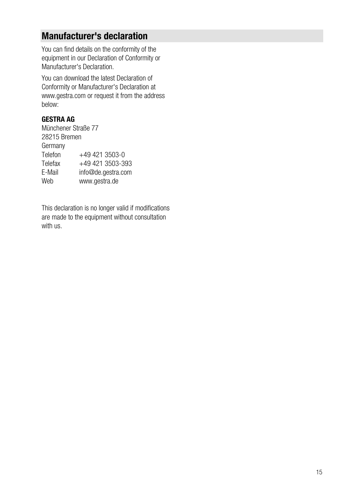#### <span id="page-14-0"></span>Manufacturer's declaration

You can find details on the conformity of the equipment in our Declaration of Conformity or Manufacturer's Declaration.

You can download the latest Declaration of Conformity or Manufacturer's Declaration at www.gestra.com or request it from the address below:

#### GESTRA AG

Münchener Straße 77 28215 Bremen Germany Telefon +49 421 3503-0<br>Telefax +49 421 3503-39 Telefax  $+49\,421\,3503-393$ <br>F-Mail info@de.gestra.com info@de.gestra.com Web www.gestra.de

This declaration is no longer valid if modifications are made to the equipment without consultation with us.